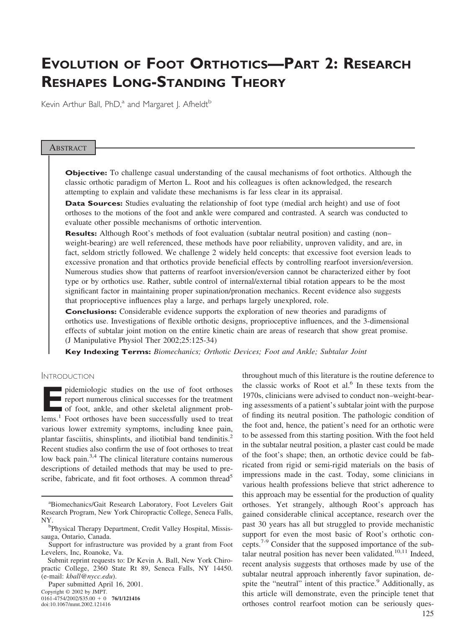# **EVOLUTION OF FOOT ORTHOTICS—PART 2: RESEARCH RESHAPES LONG-STANDING THEORY**

Kevin Arthur Ball, PhD,<sup>a</sup> and Margaret J. Afheldt<sup>b</sup>

## ABSTRACT

**Objective:** To challenge casual understanding of the causal mechanisms of foot orthotics. Although the classic orthotic paradigm of Merton L. Root and his colleagues is often acknowledged, the research attempting to explain and validate these mechanisms is far less clear in its appraisal.

**Data Sources:** Studies evaluating the relationship of foot type (medial arch height) and use of foot orthoses to the motions of the foot and ankle were compared and contrasted. A search was conducted to evaluate other possible mechanisms of orthotic intervention.

**Results:** Although Root's methods of foot evaluation (subtalar neutral position) and casting (non– weight-bearing) are well referenced, these methods have poor reliability, unproven validity, and are, in fact, seldom strictly followed. We challenge 2 widely held concepts: that excessive foot eversion leads to excessive pronation and that orthotics provide beneficial effects by controlling rearfoot inversion/eversion. Numerous studies show that patterns of rearfoot inversion/eversion cannot be characterized either by foot type or by orthotics use. Rather, subtle control of internal/external tibial rotation appears to be the most significant factor in maintaining proper supination/pronation mechanics. Recent evidence also suggests that proprioceptive influences play a large, and perhaps largely unexplored, role.

**Conclusions:** Considerable evidence supports the exploration of new theories and paradigms of orthotics use. Investigations of flexible orthotic designs, proprioceptive influences, and the 3-dimensional effects of subtalar joint motion on the entire kinetic chain are areas of research that show great promise. (J Manipulative Physiol Ther 2002;25:125-34)

**Key Indexing Terms:** *Biomechanics; Orthotic Devices; Foot and Ankle; Subtalar Joint*

#### INTRODUCTION

**EXECUTE Propertion**<br> **EXECUTE:** The propert numerous clinical successes for the treatment<br>
of foot, ankle, and other skeletal alignment prob-<br> **EXECUTE:** Foot orthoses have been successfully used to treat report numerous clinical successes for the treatment of foot, ankle, and other skeletal alignment problems.<sup>1</sup> Foot orthoses have been successfully used to treat various lower extremity symptoms, including knee pain, plantar fasciitis, shinsplints, and iliotibial band tendinitis.<sup>2</sup> Recent studies also confirm the use of foot orthoses to treat low back pain. $3,4$  The clinical literature contains numerous descriptions of detailed methods that may be used to prescribe, fabricate, and fit foot orthoses. A common thread<sup>5</sup>

Paper submitted April 16, 2001.

Copyright © 2002 by JMPT.  $0161-4754/2002/835.00 + 0$  **76/1/121416** doi:10.1067/mmt.2002.121416

throughout much of this literature is the routine deference to the classic works of Root et al. $<sup>6</sup>$  In these texts from the</sup> 1970s, clinicians were advised to conduct non–weight-bearing assessments of a patient's subtalar joint with the purpose of finding its neutral position. The pathologic condition of the foot and, hence, the patient's need for an orthotic were to be assessed from this starting position. With the foot held in the subtalar neutral position, a plaster cast could be made of the foot's shape; then, an orthotic device could be fabricated from rigid or semi-rigid materials on the basis of impressions made in the cast. Today, some clinicians in various health professions believe that strict adherence to this approach may be essential for the production of quality orthoses. Yet strangely, although Root's approach has gained considerable clinical acceptance, research over the past 30 years has all but struggled to provide mechanistic support for even the most basic of Root's orthotic concepts.<sup>7-9</sup> Consider that the supposed importance of the subtalar neutral position has never been validated.<sup>10,11</sup> Indeed, recent analysis suggests that orthoses made by use of the subtalar neutral approach inherently favor supination, despite the "neutral" intent of this practice.<sup>9</sup> Additionally, as this article will demonstrate, even the principle tenet that orthoses control rearfoot motion can be seriously ques-

a Biomechanics/Gait Research Laboratory, Foot Levelers Gait Research Program, New York Chiropractic College, Seneca Falls, NY.

<sup>&</sup>lt;sup>b</sup>Physical Therapy Department, Credit Valley Hospital, Mississauga, Ontario, Canada.

Support for infrastructure was provided by a grant from Foot Levelers, Inc, Roanoke, Va.

Submit reprint requests to: Dr Kevin A. Ball, New York Chiropractic College, 2360 State Rt 89, Seneca Falls, NY 14450. (e-mail: *kball@nycc.edu*).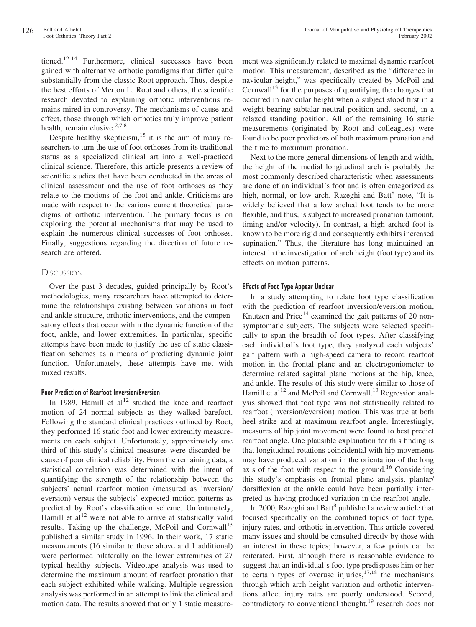tioned.<sup>12-14</sup> Furthermore, clinical successes have been gained with alternative orthotic paradigms that differ quite substantially from the classic Root approach. Thus, despite the best efforts of Merton L. Root and others, the scientific research devoted to explaining orthotic interventions remains mired in controversy. The mechanisms of cause and effect, those through which orthotics truly improve patient health, remain elusive. $2,7,8$ 

Despite healthy skepticism,<sup>15</sup> it is the aim of many researchers to turn the use of foot orthoses from its traditional status as a specialized clinical art into a well-practiced clinical science. Therefore, this article presents a review of scientific studies that have been conducted in the areas of clinical assessment and the use of foot orthoses as they relate to the motions of the foot and ankle. Criticisms are made with respect to the various current theoretical paradigms of orthotic intervention. The primary focus is on exploring the potential mechanisms that may be used to explain the numerous clinical successes of foot orthoses. Finally, suggestions regarding the direction of future research are offered.

## **D**ISCUSSION

Over the past 3 decades, guided principally by Root's methodologies, many researchers have attempted to determine the relationships existing between variations in foot and ankle structure, orthotic interventions, and the compensatory effects that occur within the dynamic function of the foot, ankle, and lower extremities. In particular, specific attempts have been made to justify the use of static classification schemes as a means of predicting dynamic joint function. Unfortunately, these attempts have met with mixed results.

## **Poor Prediction of Rearfoot Inversion/Eversion**

In 1989, Hamill et  $al<sup>12</sup>$  studied the knee and rearfoot motion of 24 normal subjects as they walked barefoot. Following the standard clinical practices outlined by Root, they performed 16 static foot and lower extremity measurements on each subject. Unfortunately, approximately one third of this study's clinical measures were discarded because of poor clinical reliability. From the remaining data, a statistical correlation was determined with the intent of quantifying the strength of the relationship between the subjects' actual rearfoot motion (measured as inversion/ eversion) versus the subjects' expected motion patterns as predicted by Root's classification scheme. Unfortunately, Hamill et  $al<sup>12</sup>$  were not able to arrive at statistically valid results. Taking up the challenge, McPoil and Cornwall<sup>13</sup> published a similar study in 1996. In their work, 17 static measurements (16 similar to those above and 1 additional) were performed bilaterally on the lower extremities of 27 typical healthy subjects. Videotape analysis was used to determine the maximum amount of rearfoot pronation that each subject exhibited while walking. Multiple regression analysis was performed in an attempt to link the clinical and motion data. The results showed that only 1 static measurement was significantly related to maximal dynamic rearfoot motion. This measurement, described as the "difference in navicular height," was specifically created by McPoil and Cornwall $1<sup>3</sup>$  for the purposes of quantifying the changes that occurred in navicular height when a subject stood first in a weight-bearing subtalar neutral position and, second, in a relaxed standing position. All of the remaining 16 static measurements (originated by Root and colleagues) were found to be poor predictors of both maximum pronation and the time to maximum pronation.

Next to the more general dimensions of length and width, the height of the medial longitudinal arch is probably the most commonly described characteristic when assessments are done of an individual's foot and is often categorized as high, normal, or low arch. Razeghi and Batt<sup>8</sup> note, "It is widely believed that a low arched foot tends to be more flexible, and thus, is subject to increased pronation (amount, timing and/or velocity). In contrast, a high arched foot is known to be more rigid and consequently exhibits increased supination." Thus, the literature has long maintained an interest in the investigation of arch height (foot type) and its effects on motion patterns.

# **Effects of Foot Type Appear Unclear**

In a study attempting to relate foot type classification with the prediction of rearfoot inversion/eversion motion, Knutzen and Price $14$  examined the gait patterns of 20 nonsymptomatic subjects. The subjects were selected specifically to span the breadth of foot types. After classifying each individual's foot type, they analyzed each subjects' gait pattern with a high-speed camera to record rearfoot motion in the frontal plane and an electrogoniometer to determine related sagittal plane motions at the hip, knee, and ankle. The results of this study were similar to those of Hamill et al<sup>12</sup> and McPoil and Cornwall.<sup>13</sup> Regression analysis showed that foot type was not statistically related to rearfoot (inversion/eversion) motion. This was true at both heel strike and at maximum rearfoot angle. Interestingly, measures of hip joint movement were found to best predict rearfoot angle. One plausible explanation for this finding is that longitudinal rotations coincidental with hip movements may have produced variation in the orientation of the long axis of the foot with respect to the ground.16 Considering this study's emphasis on frontal plane analysis, plantar/ dorsiflexion at the ankle could have been partially interpreted as having produced variation in the rearfoot angle.

In 2000, Razeghi and Batt<sup>8</sup> published a review article that focused specifically on the combined topics of foot type, injury rates, and orthotic intervention. This article covered many issues and should be consulted directly by those with an interest in these topics; however, a few points can be reiterated. First, although there is reasonable evidence to suggest that an individual's foot type predisposes him or her to certain types of overuse injuries, $17,18$  the mechanisms through which arch height variation and orthotic interventions affect injury rates are poorly understood. Second, contradictory to conventional thought,<sup>19</sup> research does not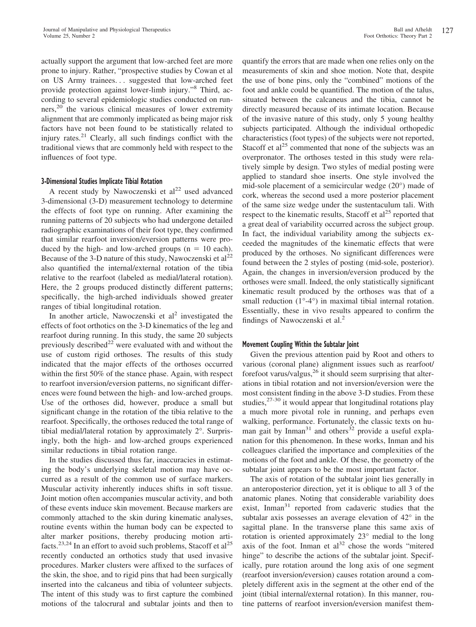actually support the argument that low-arched feet are more prone to injury. Rather, "prospective studies by Cowan et al on US Army trainees. . . suggested that low-arched feet provide protection against lower-limb injury."8 Third, according to several epidemiologic studies conducted on runners,<sup>20</sup> the various clinical measures of lower extremity alignment that are commonly implicated as being major risk factors have not been found to be statistically related to injury rates.21 Clearly, all such findings conflict with the traditional views that are commonly held with respect to the influences of foot type.

## **3-Dimensional Studies Implicate Tibial Rotation**

A recent study by Nawoczenski et  $al<sup>22</sup>$  used advanced 3-dimensional (3-D) measurement technology to determine the effects of foot type on running. After examining the running patterns of 20 subjects who had undergone detailed radiographic examinations of their foot type, they confirmed that similar rearfoot inversion/eversion patterns were produced by the high- and low-arched groups  $(n = 10 \text{ each})$ . Because of the 3-D nature of this study, Nawoczenski et  $al<sup>22</sup>$ also quantified the internal/external rotation of the tibia relative to the rearfoot (labeled as medial/lateral rotation). Here, the 2 groups produced distinctly different patterns; specifically, the high-arched individuals showed greater ranges of tibial longitudinal rotation.

In another article, Nawoczenski et  $al<sup>2</sup>$  investigated the effects of foot orthotics on the 3-D kinematics of the leg and rearfoot during running. In this study, the same 20 subjects previously described<sup>22</sup> were evaluated with and without the use of custom rigid orthoses. The results of this study indicated that the major effects of the orthoses occurred within the first 50% of the stance phase. Again, with respect to rearfoot inversion/eversion patterns, no significant differences were found between the high- and low-arched groups. Use of the orthoses did, however, produce a small but significant change in the rotation of the tibia relative to the rearfoot. Specifically, the orthoses reduced the total range of tibial medial/lateral rotation by approximately 2°. Surprisingly, both the high- and low-arched groups experienced similar reductions in tibial rotation range.

In the studies discussed thus far, inaccuracies in estimating the body's underlying skeletal motion may have occurred as a result of the common use of surface markers. Muscular activity inherently induces shifts in soft tissue. Joint motion often accompanies muscular activity, and both of these events induce skin movement. Because markers are commonly attached to the skin during kinematic analyses, routine events within the human body can be expected to alter marker positions, thereby producing motion artifacts.<sup>23,24</sup> In an effort to avoid such problems, Stacoff et al<sup>25</sup> recently conducted an orthotics study that used invasive procedures. Marker clusters were affixed to the surfaces of the skin, the shoe, and to rigid pins that had been surgically inserted into the calcaneus and tibia of volunteer subjects. The intent of this study was to first capture the combined motions of the talocrural and subtalar joints and then to quantify the errors that are made when one relies only on the measurements of skin and shoe motion. Note that, despite the use of bone pins, only the "combined" motions of the foot and ankle could be quantified. The motion of the talus, situated between the calcaneus and the tibia, cannot be directly measured because of its intimate location. Because of the invasive nature of this study, only 5 young healthy subjects participated. Although the individual orthopedic characteristics (foot types) of the subjects were not reported, Stacoff et  $al^{25}$  commented that none of the subjects was an overpronator. The orthoses tested in this study were relatively simple by design. Two styles of medial posting were applied to standard shoe inserts. One style involved the mid-sole placement of a semicircular wedge (20°) made of cork, whereas the second used a more posterior placement of the same size wedge under the sustentaculum tali. With respect to the kinematic results, Stacoff et  $al^{25}$  reported that a great deal of variability occurred across the subject group. In fact, the individual variability among the subjects exceeded the magnitudes of the kinematic effects that were produced by the orthoses. No significant differences were found between the 2 styles of posting (mid-sole, posterior). Again, the changes in inversion/eversion produced by the orthoses were small. Indeed, the only statistically significant kinematic result produced by the orthoses was that of a small reduction (1°-4°) in maximal tibial internal rotation. Essentially, these in vivo results appeared to confirm the findings of Nawoczenski et al. $<sup>2</sup>$ </sup>

## **Movement Coupling Within the Subtalar Joint**

Given the previous attention paid by Root and others to various (coronal plane) alignment issues such as rearfoot/ forefoot varus/valgus, $^{26}$  it should seem surprising that alterations in tibial rotation and not inversion/eversion were the most consistent finding in the above 3-D studies. From these studies, $27-30$  it would appear that longitudinal rotations play a much more pivotal role in running, and perhaps even walking, performance. Fortunately, the classic texts on human gait by  $Inman<sup>31</sup>$  and others<sup>32</sup> provide a useful explanation for this phenomenon. In these works, Inman and his colleagues clarified the importance and complexities of the motions of the foot and ankle. Of these, the geometry of the subtalar joint appears to be the most important factor.

The axis of rotation of the subtalar joint lies generally in an anteroposterior direction, yet it is oblique to all 3 of the anatomic planes. Noting that considerable variability does exist, Inman<sup>31</sup> reported from cadaveric studies that the subtalar axis possesses an average elevation of 42° in the sagittal plane. In the transverse plane this same axis of rotation is oriented approximately 23° medial to the long axis of the foot. Inman et  $al<sup>32</sup>$  chose the words "mitered" hinge" to describe the actions of the subtalar joint. Specifically, pure rotation around the long axis of one segment (rearfoot inversion/eversion) causes rotation around a completely different axis in the segment at the other end of the joint (tibial internal/external rotation). In this manner, routine patterns of rearfoot inversion/eversion manifest them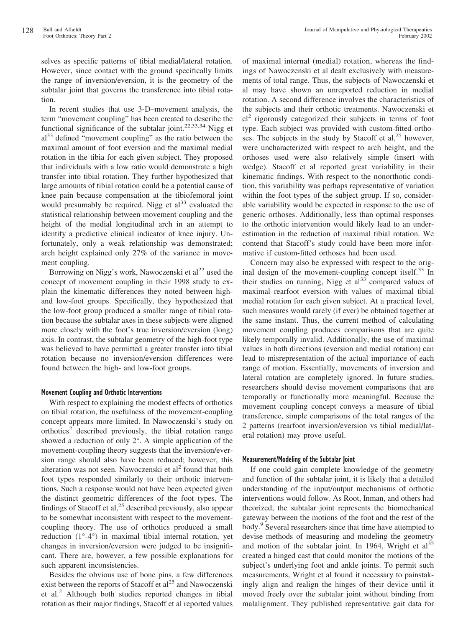selves as specific patterns of tibial medial/lateral rotation. However, since contact with the ground specifically limits the range of inversion/eversion, it is the geometry of the subtalar joint that governs the transference into tibial rotation.

In recent studies that use 3-D–movement analysis, the term "movement coupling" has been created to describe the functional significance of the subtalar joint.<sup>22,33,34</sup> Nigg et al<sup>33</sup> defined "movement coupling" as the ratio between the maximal amount of foot eversion and the maximal medial rotation in the tibia for each given subject. They proposed that individuals with a low ratio would demonstrate a high transfer into tibial rotation. They further hypothesized that large amounts of tibial rotation could be a potential cause of knee pain because compensation at the tibiofemoral joint would presumably be required. Nigg et  $al<sup>33</sup>$  evaluated the statistical relationship between movement coupling and the height of the medial longitudinal arch in an attempt to identify a predictive clinical indicator of knee injury. Unfortunately, only a weak relationship was demonstrated; arch height explained only 27% of the variance in movement coupling.

Borrowing on Nigg's work, Nawoczenski et  $al<sup>22</sup>$  used the concept of movement coupling in their 1998 study to explain the kinematic differences they noted between highand low-foot groups. Specifically, they hypothesized that the low-foot group produced a smaller range of tibial rotation because the subtalar axes in these subjects were aligned more closely with the foot's true inversion/eversion (long) axis. In contrast, the subtalar geometry of the high-foot type was believed to have permitted a greater transfer into tibial rotation because no inversion/eversion differences were found between the high- and low-foot groups.

## **Movement Coupling and Orthotic Interventions**

With respect to explaining the modest effects of orthotics on tibial rotation, the usefulness of the movement-coupling concept appears more limited. In Nawoczenski's study on orthotics<sup>2</sup> described previously, the tibial rotation range showed a reduction of only 2°. A simple application of the movement-coupling theory suggests that the inversion/eversion range should also have been reduced; however, this alteration was not seen. Nawoczenski et  $al<sup>2</sup>$  found that both foot types responded similarly to their orthotic interventions. Such a response would not have been expected given the distinct geometric differences of the foot types. The findings of Stacoff et al,  $25$  described previously, also appear to be somewhat inconsistent with respect to the movementcoupling theory. The use of orthotics produced a small reduction (1°-4°) in maximal tibial internal rotation, yet changes in inversion/eversion were judged to be insignificant. There are, however, a few possible explanations for such apparent inconsistencies.

Besides the obvious use of bone pins, a few differences exist between the reports of Stacoff et  $al^{25}$  and Nawoczenski et al.<sup>2</sup> Although both studies reported changes in tibial rotation as their major findings, Stacoff et al reported values of maximal internal (medial) rotation, whereas the findings of Nawoczenski et al dealt exclusively with measurements of total range. Thus, the subjects of Nawoczenski et al may have shown an unreported reduction in medial rotation. A second difference involves the characteristics of the subjects and their orthotic treatments. Nawoczenski et  $el<sup>2</sup>$  rigorously categorized their subjects in terms of foot type. Each subject was provided with custom-fitted orthoses. The subjects in the study by Stacoff et al,  $^{25}$  however, were uncharacterized with respect to arch height, and the orthoses used were also relatively simple (insert with wedge). Stacoff et al reported great variability in their kinematic findings. With respect to the nonorthotic condition, this variability was perhaps representative of variation within the foot types of the subject group. If so, considerable variability would be expected in response to the use of generic orthoses. Additionally, less than optimal responses to the orthotic intervention would likely lead to an underestimation in the reduction of maximal tibial rotation. We contend that Stacoff's study could have been more informative if custom-fitted orthoses had been used.

Concern may also be expressed with respect to the original design of the movement-coupling concept itself. $^{33}$  In their studies on running, Nigg et  $al^{33}$  compared values of maximal rearfoot eversion with values of maximal tibial medial rotation for each given subject. At a practical level, such measures would rarely (if ever) be obtained together at the same instant. Thus, the current method of calculating movement coupling produces comparisons that are quite likely temporally invalid. Additionally, the use of maximal values in both directions (eversion and medial rotation) can lead to misrepresentation of the actual importance of each range of motion. Essentially, movements of inversion and lateral rotation are completely ignored. In future studies, researchers should devise movement comparisons that are temporally or functionally more meaningful. Because the movement coupling concept conveys a measure of tibial transference, simple comparisons of the total ranges of the 2 patterns (rearfoot inversion/eversion vs tibial medial/lateral rotation) may prove useful.

## **Measurement/Modeling of the Subtalar Joint**

If one could gain complete knowledge of the geometry and function of the subtalar joint, it is likely that a detailed understanding of the input/output mechanisms of orthotic interventions would follow. As Root, Inman, and others had theorized, the subtalar joint represents the biomechanical gateway between the motions of the foot and the rest of the body.<sup>9</sup> Several researchers since that time have attempted to devise methods of measuring and modeling the geometry and motion of the subtalar joint. In 1964, Wright et  $al<sup>35</sup>$ created a hinged cast that could monitor the motions of the subject's underlying foot and ankle joints. To permit such measurements, Wright et al found it necessary to painstakingly align and realign the hinges of their device until it moved freely over the subtalar joint without binding from malalignment. They published representative gait data for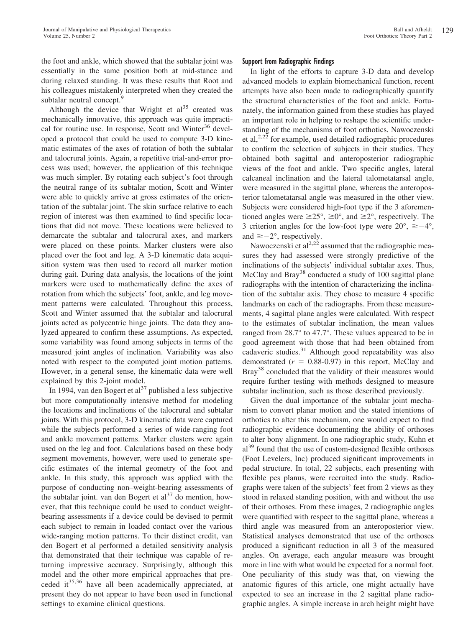Although the device that Wright et  $al<sup>35</sup>$  created was mechanically innovative, this approach was quite impractical for routine use. In response, Scott and Winter<sup>36</sup> developed a protocol that could be used to compute 3-D kinematic estimates of the axes of rotation of both the subtalar and talocrural joints. Again, a repetitive trial-and-error process was used; however, the application of this technique was much simpler. By rotating each subject's foot through the neutral range of its subtalar motion, Scott and Winter were able to quickly arrive at gross estimates of the orientation of the subtalar joint. The skin surface relative to each region of interest was then examined to find specific locations that did not move. These locations were believed to demarcate the subtalar and talocrural axes, and markers were placed on these points. Marker clusters were also placed over the foot and leg. A 3-D kinematic data acquisition system was then used to record all marker motion during gait. During data analysis, the locations of the joint markers were used to mathematically define the axes of rotation from which the subjects' foot, ankle, and leg movement patterns were calculated. Throughout this process, Scott and Winter assumed that the subtalar and talocrural joints acted as polycentric hinge joints. The data they analyzed appeared to confirm these assumptions. As expected, some variability was found among subjects in terms of the measured joint angles of inclination. Variability was also noted with respect to the computed joint motion patterns. However, in a general sense, the kinematic data were well explained by this 2-joint model.

In 1994, van den Bogert et al<sup>37</sup> published a less subjective but more computationally intensive method for modeling the locations and inclinations of the talocrural and subtalar joints. With this protocol, 3-D kinematic data were captured while the subjects performed a series of wide-ranging foot and ankle movement patterns. Marker clusters were again used on the leg and foot. Calculations based on these body segment movements, however, were used to generate specific estimates of the internal geometry of the foot and ankle. In this study, this approach was applied with the purpose of conducting non–weight-bearing assessments of the subtalar joint. van den Bogert et  $al<sup>37</sup>$  do mention, however, that this technique could be used to conduct weightbearing assessments if a device could be devised to permit each subject to remain in loaded contact over the various wide-ranging motion patterns. To their distinct credit, van den Bogert et al performed a detailed sensitivity analysis that demonstrated that their technique was capable of returning impressive accuracy. Surprisingly, although this model and the other more empirical approaches that preceded it $35,36$  have all been academically appreciated, at present they do not appear to have been used in functional settings to examine clinical questions.

## **Support from Radiographic Findings**

In light of the efforts to capture 3-D data and develop advanced models to explain biomechanical function, recent attempts have also been made to radiographically quantify the structural characteristics of the foot and ankle. Fortunately, the information gained from these studies has played an important role in helping to reshape the scientific understanding of the mechanisms of foot orthotics. Nawoczenski et al, $^{2,22}$  for example, used detailed radiographic procedures to confirm the selection of subjects in their studies. They obtained both sagittal and anteroposterior radiographic views of the foot and ankle. Two specific angles, lateral calcaneal inclination and the lateral talometatarsal angle, were measured in the sagittal plane, whereas the anteroposterior talometatarsal angle was measured in the other view. Subjects were considered high-foot type if the 3 aforementioned angles were  $\geq 25^{\circ}$ ,  $\geq 0^{\circ}$ , and  $\geq 2^{\circ}$ , respectively. The 3 criterion angles for the low-foot type were  $20^{\circ}$ ,  $\geq -4^{\circ}$ , and  $\geq -2^{\circ}$ , respectively.

Nawoczenski et  $al^{2,22}$  assumed that the radiographic measures they had assessed were strongly predictive of the inclinations of the subjects' individual subtalar axes. Thus, McClay and Bray<sup>38</sup> conducted a study of 100 sagittal plane radiographs with the intention of characterizing the inclination of the subtalar axis. They chose to measure 4 specific landmarks on each of the radiographs. From these measurements, 4 sagittal plane angles were calculated. With respect to the estimates of subtalar inclination, the mean values ranged from 28.7° to 47.7°. These values appeared to be in good agreement with those that had been obtained from cadaveric studies.<sup>31</sup> Although good repeatability was also demonstrated  $(r = 0.88 - 0.97)$  in this report, McClay and Bray<sup>38</sup> concluded that the validity of their measures would require further testing with methods designed to measure subtalar inclination, such as those described previously.

Given the dual importance of the subtalar joint mechanism to convert planar motion and the stated intentions of orthotics to alter this mechanism, one would expect to find radiographic evidence documenting the ability of orthoses to alter bony alignment. In one radiographic study, Kuhn et al<sup>39</sup> found that the use of custom-designed flexible orthoses (Foot Levelers, Inc) produced significant improvements in pedal structure. In total, 22 subjects, each presenting with flexible pes planus, were recruited into the study. Radiographs were taken of the subjects' feet from 2 views as they stood in relaxed standing position, with and without the use of their orthoses. From these images, 2 radiographic angles were quantified with respect to the sagittal plane, whereas a third angle was measured from an anteroposterior view. Statistical analyses demonstrated that use of the orthoses produced a significant reduction in all 3 of the measured angles. On average, each angular measure was brought more in line with what would be expected for a normal foot. One peculiarity of this study was that, on viewing the anatomic figures of this article, one might actually have expected to see an increase in the 2 sagittal plane radiographic angles. A simple increase in arch height might have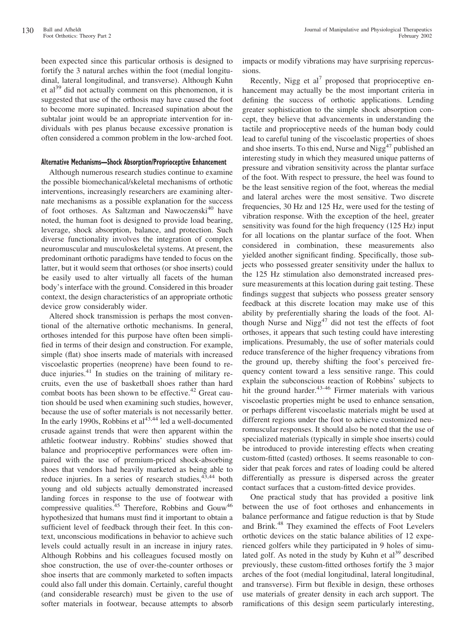been expected since this particular orthosis is designed to fortify the 3 natural arches within the foot (medial longitudinal, lateral longitudinal, and transverse). Although Kuhn et  $al<sup>39</sup>$  did not actually comment on this phenomenon, it is suggested that use of the orthosis may have caused the foot to become more supinated. Increased supination about the subtalar joint would be an appropriate intervention for individuals with pes planus because excessive pronation is often considered a common problem in the low-arched foot.

## **Alternative Mechanisms—Shock Absorption/Proprioceptive Enhancement**

Although numerous research studies continue to examine the possible biomechanical/skeletal mechanisms of orthotic interventions, increasingly researchers are examining alternate mechanisms as a possible explanation for the success of foot orthoses. As Saltzman and Nawoczenski<sup>40</sup> have noted, the human foot is designed to provide load bearing, leverage, shock absorption, balance, and protection. Such diverse functionality involves the integration of complex neuromuscular and musculoskeletal systems. At present, the predominant orthotic paradigms have tended to focus on the latter, but it would seem that orthoses (or shoe inserts) could be easily used to alter virtually all facets of the human body's interface with the ground. Considered in this broader context, the design characteristics of an appropriate orthotic device grow considerably wider.

Altered shock transmission is perhaps the most conventional of the alternative orthotic mechanisms. In general, orthoses intended for this purpose have often been simplified in terms of their design and construction. For example, simple (flat) shoe inserts made of materials with increased viscoelastic properties (neoprene) have been found to reduce injuries. $41$  In studies on the training of military recruits, even the use of basketball shoes rather than hard combat boots has been shown to be effective.<sup>42</sup> Great caution should be used when examining such studies, however, because the use of softer materials is not necessarily better. In the early 1990s, Robbins et  $al<sup>43,44</sup>$  led a well-documented crusade against trends that were then apparent within the athletic footwear industry. Robbins' studies showed that balance and proprioceptive performances were often impaired with the use of premium-priced shock-absorbing shoes that vendors had heavily marketed as being able to reduce injuries. In a series of research studies, <sup>43,44</sup> both young and old subjects actually demonstrated increased landing forces in response to the use of footwear with compressive qualities.<sup>45</sup> Therefore, Robbins and Gouw<sup>46</sup> hypothesized that humans must find it important to obtain a sufficient level of feedback through their feet. In this context, unconscious modifications in behavior to achieve such levels could actually result in an increase in injury rates. Although Robbins and his colleagues focused mostly on shoe construction, the use of over-the-counter orthoses or shoe inserts that are commonly marketed to soften impacts could also fall under this domain. Certainly, careful thought (and considerable research) must be given to the use of softer materials in footwear, because attempts to absorb impacts or modify vibrations may have surprising repercussions.

Recently, Nigg et al<sup>7</sup> proposed that proprioceptive enhancement may actually be the most important criteria in defining the success of orthotic applications. Lending greater sophistication to the simple shock absorption concept, they believe that advancements in understanding the tactile and proprioceptive needs of the human body could lead to careful tuning of the viscoelastic properties of shoes and shoe inserts. To this end, Nurse and Nigg<sup>47</sup> published an interesting study in which they measured unique patterns of pressure and vibration sensitivity across the plantar surface of the foot. With respect to pressure, the heel was found to be the least sensitive region of the foot, whereas the medial and lateral arches were the most sensitive. Two discrete frequencies, 30 Hz and 125 Hz, were used for the testing of vibration response. With the exception of the heel, greater sensitivity was found for the high frequency (125 Hz) input for all locations on the plantar surface of the foot. When considered in combination, these measurements also yielded another significant finding. Specifically, those subjects who possessed greater sensitivity under the hallux to the 125 Hz stimulation also demonstrated increased pressure measurements at this location during gait testing. These findings suggest that subjects who possess greater sensory feedback at this discrete location may make use of this ability by preferentially sharing the loads of the foot. Although Nurse and  $Nigg^{47}$  did not test the effects of foot orthoses, it appears that such testing could have interesting implications. Presumably, the use of softer materials could reduce transference of the higher frequency vibrations from the ground up, thereby shifting the foot's perceived frequency content toward a less sensitive range. This could explain the subconscious reaction of Robbins' subjects to hit the ground harder. $43-46$  Firmer materials with various viscoelastic properties might be used to enhance sensation, or perhaps different viscoelastic materials might be used at different regions under the foot to achieve customized neuromuscular responses. It should also be noted that the use of specialized materials (typically in simple shoe inserts) could be introduced to provide interesting effects when creating custom-fitted (casted) orthoses. It seems reasonable to consider that peak forces and rates of loading could be altered differentially as pressure is dispersed across the greater contact surfaces that a custom-fitted device provides.

One practical study that has provided a positive link between the use of foot orthoses and enhancements in balance performance and fatigue reduction is that by Stude and Brink.<sup>48</sup> They examined the effects of Foot Levelers orthotic devices on the static balance abilities of 12 experienced golfers while they participated in 9 holes of simulated golf. As noted in the study by Kuhn et al<sup>39</sup> described previously, these custom-fitted orthoses fortify the 3 major arches of the foot (medial longitudinal, lateral longitudinal, and transverse). Firm but flexible in design, these orthoses use materials of greater density in each arch support. The ramifications of this design seem particularly interesting,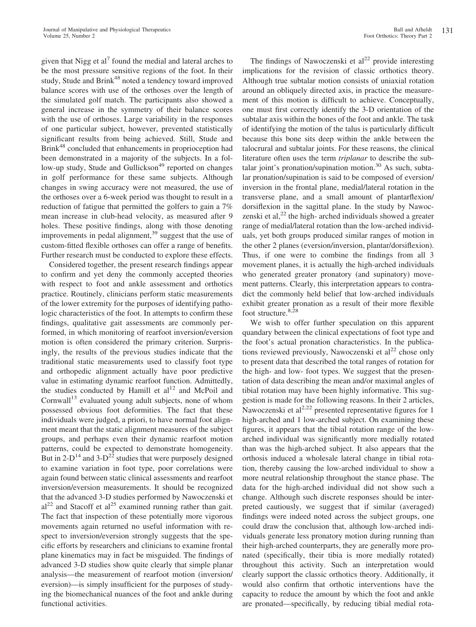given that Nigg et al<sup>7</sup> found the medial and lateral arches to be the most pressure sensitive regions of the foot. In their study, Stude and Brink<sup>48</sup> noted a tendency toward improved balance scores with use of the orthoses over the length of the simulated golf match. The participants also showed a general increase in the symmetry of their balance scores with the use of orthoses. Large variability in the responses of one particular subject, however, prevented statistically significant results from being achieved. Still, Stude and Brink<sup>48</sup> concluded that enhancements in proprioception had been demonstrated in a majority of the subjects. In a follow-up study, Stude and Gullickson<sup>49</sup> reported on changes in golf performance for these same subjects. Although changes in swing accuracy were not measured, the use of the orthoses over a 6-week period was thought to result in a reduction of fatigue that permitted the golfers to gain a 7% mean increase in club-head velocity, as measured after 9 holes. These positive findings, along with those denoting improvements in pedal alignment,<sup>39</sup> suggest that the use of custom-fitted flexible orthoses can offer a range of benefits. Further research must be conducted to explore these effects.

Considered together, the present research findings appear to confirm and yet deny the commonly accepted theories with respect to foot and ankle assessment and orthotics practice. Routinely, clinicians perform static measurements of the lower extremity for the purposes of identifying pathologic characteristics of the foot. In attempts to confirm these findings, qualitative gait assessments are commonly performed, in which monitoring of rearfoot inversion/eversion motion is often considered the primary criterion. Surprisingly, the results of the previous studies indicate that the traditional static measurements used to classify foot type and orthopedic alignment actually have poor predictive value in estimating dynamic rearfoot function. Admittedly, the studies conducted by Hamill et  $al<sup>12</sup>$  and McPoil and Cornwall $13$  evaluated young adult subjects, none of whom possessed obvious foot deformities. The fact that these individuals were judged, a priori, to have normal foot alignment meant that the static alignment measures of the subject groups, and perhaps even their dynamic rearfoot motion patterns, could be expected to demonstrate homogeneity. But in  $2-D^{14}$  and  $3-D^{22}$  studies that were purposely designed to examine variation in foot type, poor correlations were again found between static clinical assessments and rearfoot inversion/eversion measurements. It should be recognized that the advanced 3-D studies performed by Nawoczenski et  $al<sup>22</sup>$  and Stacoff et al<sup>25</sup> examined running rather than gait. The fact that inspection of these potentially more vigorous movements again returned no useful information with respect to inversion/eversion strongly suggests that the specific efforts by researchers and clinicians to examine frontal plane kinematics may in fact be misguided. The findings of advanced 3-D studies show quite clearly that simple planar analysis—the measurement of rearfoot motion (inversion/ eversion)—is simply insufficient for the purposes of studying the biomechanical nuances of the foot and ankle during functional activities.

The findings of Nawoczenski et  $al<sup>22</sup>$  provide interesting implications for the revision of classic orthotics theory. Although true subtalar motion consists of uniaxial rotation around an obliquely directed axis, in practice the measurement of this motion is difficult to achieve. Conceptually, one must first correctly identify the 3-D orientation of the subtalar axis within the bones of the foot and ankle. The task of identifying the motion of the talus is particularly difficult because this bone sits deep within the ankle between the talocrural and subtalar joints. For these reasons, the clinical literature often uses the term *triplanar* to describe the subtalar joint's pronation/supination motion. $30$  As such, subtalar pronation/supination is said to be composed of eversion/ inversion in the frontal plane, medial/lateral rotation in the transverse plane, and a small amount of plantarflexion/ dorsiflexion in the sagittal plane. In the study by Nawoczenski et al, $^{22}$  the high- arched individuals showed a greater range of medial/lateral rotation than the low-arched individuals, yet both groups produced similar ranges of motion in the other 2 planes (eversion/inversion, plantar/dorsiflexion). Thus, if one were to combine the findings from all 3 movement planes, it is actually the high-arched individuals who generated greater pronatory (and supinatory) movement patterns. Clearly, this interpretation appears to contradict the commonly held belief that low-arched individuals exhibit greater pronation as a result of their more flexible foot structure.<sup>8,28</sup>

We wish to offer further speculation on this apparent quandary between the clinical expectations of foot type and the foot's actual pronation characteristics. In the publications reviewed previously, Nawoczenski et  $al<sup>22</sup>$  chose only to present data that described the total ranges of rotation for the high- and low- foot types. We suggest that the presentation of data describing the mean and/or maximal angles of tibial rotation may have been highly informative. This suggestion is made for the following reasons. In their 2 articles, Nawoczenski et al<sup>2,22</sup> presented representative figures for 1 high-arched and 1 low-arched subject. On examining these figures, it appears that the tibial rotation range of the lowarched individual was significantly more medially rotated than was the high-arched subject. It also appears that the orthosis induced a wholesale lateral change in tibial rotation, thereby causing the low-arched individual to show a more neutral relationship throughout the stance phase. The data for the high-arched individual did not show such a change. Although such discrete responses should be interpreted cautiously, we suggest that if similar (averaged) findings were indeed noted across the subject groups, one could draw the conclusion that, although low-arched individuals generate less pronatory motion during running than their high-arched counterparts, they are generally more pronated (specifically, their tibia is more medially rotated) throughout this activity. Such an interpretation would clearly support the classic orthotics theory. Additionally, it would also confirm that orthotic interventions have the capacity to reduce the amount by which the foot and ankle are pronated—specifically, by reducing tibial medial rota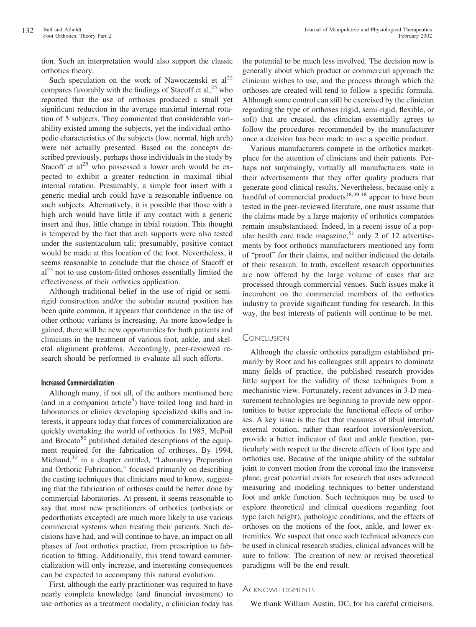tion. Such an interpretation would also support the classic orthotics theory.

Such speculation on the work of Nawoczenski et  $al^{22}$ compares favorably with the findings of Stacoff et al,  $^{25}$  who reported that the use of orthoses produced a small yet significant reduction in the average maximal internal rotation of 5 subjects. They commented that considerable variability existed among the subjects, yet the individual orthopedic characteristics of the subjects (low, normal, high arch) were not actually presented. Based on the concepts described previously, perhaps those individuals in the study by Stacoff et  $al^{25}$  who possessed a lower arch would be expected to exhibit a greater reduction in maximal tibial internal rotation. Presumably, a simple foot insert with a generic medial arch could have a reasonable influence on such subjects. Alternatively, it is possible that those with a high arch would have little if any contact with a generic insert and thus, little change in tibial rotation. This thought is tempered by the fact that arch supports were also tested under the sustentaculum tali; presumably, positive contact would be made at this location of the foot. Nevertheless, it seems reasonable to conclude that the choice of Stacoff et al<sup>25</sup> not to use custom-fitted orthoses essentially limited the effectiveness of their orthotics application.

Although traditional belief in the use of rigid or semirigid construction and/or the subtalar neutral position has been quite common, it appears that confidence in the use of other orthotic variants is increasing. As more knowledge is gained, there will be new opportunities for both patients and clinicians in the treatment of various foot, ankle, and skeletal alignment problems. Accordingly, peer-reviewed research should be performed to evaluate all such efforts.

## **Increased Commercialization**

Although many, if not all, of the authors mentioned here (and in a companion article<sup>9</sup>) have toiled long and hard in laboratories or clinics developing specialized skills and interests, it appears today that forces of commercialization are quickly overtaking the world of orthotics. In 1985, McPoil and Brocato<sup>50</sup> published detailed descriptions of the equipment required for the fabrication of orthoses. By 1994, Michaud,<sup>30</sup> in a chapter entitled, "Laboratory Preparation and Orthotic Fabrication," focused primarily on describing the casting techniques that clinicians need to know, suggesting that the fabrication of orthoses could be better done by commercial laboratories. At present, it seems reasonable to say that most new practitioners of orthotics (orthotists or pedorthotists excepted) are much more likely to use various commercial systems when treating their patients. Such decisions have had, and will continue to have, an impact on all phases of foot orthotics practice, from prescription to fabrication to fitting. Additionally, this trend toward commercialization will only increase, and interesting consequences can be expected to accompany this natural evolution.

First, although the early practitioner was required to have nearly complete knowledge (and financial investment) to use orthotics as a treatment modality, a clinician today has the potential to be much less involved. The decision now is generally about which product or commercial approach the clinician wishes to use, and the process through which the orthoses are created will tend to follow a specific formula. Although some control can still be exercised by the clinician regarding the type of orthoses (rigid, semi-rigid, flexible, or soft) that are created, the clinician essentially agrees to follow the procedures recommended by the manufacturer once a decision has been made to use a specific product.

Various manufacturers compete in the orthotics marketplace for the attention of clinicians and their patients. Perhaps not surprisingly, virtually all manufacturers state in their advertisements that they offer quality products that generate good clinical results. Nevertheless, because only a handful of commercial products<sup>18,39,48</sup> appear to have been tested in the peer-reviewed literature, one must assume that the claims made by a large majority of orthotics companies remain unsubstantiated. Indeed, in a recent issue of a popular health care trade magazine,<sup>51</sup> only 2 of 12 advertisements by foot orthotics manufacturers mentioned any form of "proof" for their claims, and neither indicated the details of their research. In truth, excellent research opportunities are now offered by the large volume of cases that are processed through commercial venues. Such issues make it incumbent on the commercial members of the orthotics industry to provide significant funding for research. In this way, the best interests of patients will continue to be met.

## **CONCLUSION**

Although the classic orthotics paradigm established primarily by Root and his colleagues still appears to dominate many fields of practice, the published research provides little support for the validity of these techniques from a mechanistic view. Fortunately, recent advances in 3-D measurement technologies are beginning to provide new opportunities to better appreciate the functional effects of orthoses. A key issue is the fact that measures of tibial internal/ external rotation, rather than rearfoot inversion/eversion, provide a better indicator of foot and ankle function, particularly with respect to the discrete effects of foot type and orthotics use. Because of the unique ability of the subtalar joint to convert motion from the coronal into the transverse plane, great potential exists for research that uses advanced measuring and modeling techniques to better understand foot and ankle function. Such techniques may be used to explore theoretical and clinical questions regarding foot type (arch height), pathologic conditions, and the effects of orthoses on the motions of the foot, ankle, and lower extremities. We suspect that once such technical advances can be used in clinical research studies, clinical advances will be sure to follow. The creation of new or revised theoretical paradigms will be the end result.

## **ACKNOWLEDGMENTS**

We thank William Austin, DC, for his careful criticisms.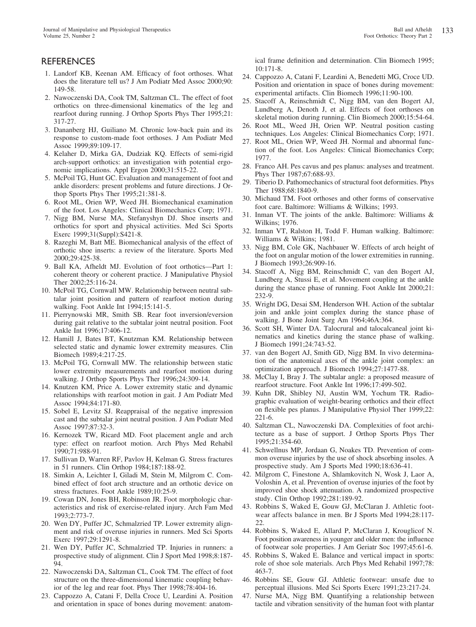# **REFERENCES**

- 1. Landorf KB, Keenan AM. Efficacy of foot orthoses. What does the literature tell us? J Am Podiatr Med Assoc 2000;90: 149-58.
- 2. Nawoczenski DA, Cook TM, Saltzman CL. The effect of foot orthotics on three-dimensional kinematics of the leg and rearfoot during running. J Orthop Sports Phys Ther 1995;21: 317-27.
- 3. Dananberg HJ, Guiliano M. Chronic low-back pain and its response to custom-made foot orthoses. J Am Podiatr Med Assoc 1999;89:109-17.
- 4. Kelaher D, Mirka GA, Dudziak KQ. Effects of semi-rigid arch-support orthotics: an investigation with potential ergonomic implications. Appl Ergon 2000;31:515-22.
- 5. McPoil TG, Hunt GC. Evaluation and management of foot and ankle disorders: present problems and future directions. J Orthop Sports Phys Ther 1995;21:381-8.
- 6. Root ML, Orien WP, Weed JH. Biomechanical examination of the foot. Los Angeles: Clinical Biomechanics Corp; 1971.
- 7. Nigg BM, Nurse MA, Stefanyshyn DJ. Shoe inserts and orthotics for sport and physical activities. Med Sci Sports Exerc 1999;31(Suppl):S421-8.
- 8. Razeghi M, Batt ME. Biomechanical analysis of the effect of orthotic shoe inserts: a review of the literature. Sports Med 2000;29:425-38.
- 9. Ball KA, Afheldt MJ. Evolution of foot orthotics—Part 1: coherent theory or coherent practice. J Manipulative Physiol Ther 2002;25:116-24.
- 10. McPoil TG, Cornwall MW. Relationship between neutral subtalar joint position and pattern of rearfoot motion during walking. Foot Ankle Int 1994;15:141-5.
- 11. Pierrynowski MR, Smith SB. Rear foot inversion/eversion during gait relative to the subtalar joint neutral position. Foot Ankle Int 1996;17:406-12.
- 12. Hamill J, Bates BT, Knutzman KM. Relationship between selected static and dynamic lower extremity measures. Clin Biomech 1989;4:217-25.
- 13. McPoil TG, Cornwall MW. The relationship between static lower extremity measurements and rearfoot motion during walking. J Orthop Sports Phys Ther 1996;24:309-14.
- 14. Knutzen KM, Price A. Lower extremity static and dynamic relationships with rearfoot motion in gait. J Am Podiatr Med Assoc 1994;84:171-80.
- 15. Sobel E, Levitz SJ. Reappraisal of the negative impression cast and the subtalar joint neutral position. J Am Podiatr Med Assoc 1997;87:32-3.
- 16. Kernozek TW, Ricard MD. Foot placement angle and arch type: effect on rearfoot motion. Arch Phys Med Rehabil 1990;71:988-91.
- 17. Sullivan D, Warren RF, Pavlov H, Kelman G. Stress fractures in 51 runners. Clin Orthop 1984;187:188-92.
- 18. Simkin A, Leichter I, Giladi M, Stein M, Milgrom C. Combined effect of foot arch structure and an orthotic device on stress fractures. Foot Ankle 1989;10:25-9.
- 19. Cowan DN, Jones BH, Robinson JR. Foot morphologic characteristics and risk of exercise-related injury. Arch Fam Med 1993;2:773-7.
- 20. Wen DY, Puffer JC, Schmalzried TP. Lower extremity alignment and risk of overuse injuries in runners. Med Sci Sports Exerc 1997;29:1291-8.
- 21. Wen DY, Puffer JC, Schmalzried TP. Injuries in runners: a prospective study of alignment. Clin J Sport Med 1998;8:187- 94.
- 22. Nawoczenski DA, Saltzman CL, Cook TM. The effect of foot structure on the three-dimensional kinematic coupling behavior of the leg and rear foot. Phys Ther 1998;78:404-16.
- 23. Cappozzo A, Catani F, Della Croce U, Leardini A. Position and orientation in space of bones during movement: anatom-

ical frame definition and determination. Clin Biomech 1995; 10:171-8.

- 24. Cappozzo A, Catani F, Leardini A, Benedetti MG, Croce UD. Position and orientation in space of bones during movement: experimental artifacts. Clin Biomech 1996;11:90-100.
- 25. Stacoff A, Reinschmidt C, Nigg BM, van den Bogert AJ, Lundberg A, Denoth J, et al. Effects of foot orthoses on skeletal motion during running. Clin Biomech 2000;15:54-64.
- 26. Root ML, Weed JH, Orien WP. Neutral position casting techniques. Los Angeles: Clinical Biomechanics Corp; 1971.
- 27. Root ML, Orien WP, Weed JH. Normal and abnormal function of the foot. Los Angeles: Clinical Biomechanics Corp; 1977.
- 28. Franco AH. Pes cavus and pes planus: analyses and treatment. Phys Ther 1987;67:688-93.
- 29. Tiberio D. Pathomechanics of structural foot deformities. Phys Ther 1988;68:1840-9.
- 30. Michaud TM. Foot orthoses and other forms of conservative foot care. Baltimore: Williams & Wilkins; 1993.
- 31. Inman VT. The joints of the ankle. Baltimore: Williams & Wilkins; 1976.
- 32. Inman VT, Ralston H, Todd F. Human walking. Baltimore: Williams & Wilkins; 1981.
- 33. Nigg BM, Cole GK, Nachbauer W. Effects of arch height of the foot on angular motion of the lower extremities in running. J Biomech 1993;26:909-16.
- 34. Stacoff A, Nigg BM, Reinschmidt C, van den Bogert AJ, Lundberg A, Stussi E, et al. Movement coupling at the ankle during the stance phase of running. Foot Ankle Int 2000;21: 232-9.
- 35. Wright DG, Desai SM, Henderson WH. Action of the subtalar join and ankle joint complex during the stance phase of walking. J Bone Joint Surg Am 1964;46A:364.
- 36. Scott SH, Winter DA. Talocrural and talocalcaneal joint kinematics and kinetics during the stance phase of walking. J Biomech 1991;24:743-52.
- 37. van den Bogert AJ, Smith GD, Nigg BM. In vivo determination of the anatomical axes of the ankle joint complex: an optimization approach. J Biomech 1994;27:1477-88.
- 38. McClay I, Bray J. The subtalar angle: a proposed measure of rearfoot structure. Foot Ankle Int 1996;17:499-502.
- 39. Kuhn DR, Shibley NJ, Austin WM, Yochum TR. Radiographic evaluation of weight-bearing orthotics and their effect on flexible pes planus. J Manipulative Physiol Ther 1999;22: 221-6.
- 40. Saltzman CL, Nawoczenski DA. Complexities of foot architecture as a base of support. J Orthop Sports Phys Ther 1995;21:354-60.
- 41. Schwellnus MP, Jordaan G, Noakes TD. Prevention of common overuse injuries by the use of shock absorbing insoles. A prospective study. Am J Sports Med 1990;18:636-41.
- 42. Milgrom C, Finestone A, Shlamkovitch N, Wosk J, Laor A, Voloshin A, et al. Prevention of overuse injuries of the foot by improved shoe shock attenuation. A randomized prospective study. Clin Orthop 1992;281:189-92.
- 43. Robbins S, Waked E, Gouw GJ, McClaran J. Athletic footwear affects balance in men. Br J Sports Med 1994;28:117- 22.
- 44. Robbins S, Waked E, Allard P, McClaran J, Krouglicof N. Foot position awareness in younger and older men: the influence of footwear sole properties. J Am Geriatr Soc 1997;45:61-6.
- 45. Robbins S, Waked E. Balance and vertical impact in sports: role of shoe sole materials. Arch Phys Med Rehabil 1997;78: 463-7.
- 46. Robbins SE, Gouw GJ. Athletic footwear: unsafe due to perceptual illusions. Med Sci Sports Exerc 1991;23:217-24.
- 47. Nurse MA, Nigg BM. Quantifying a relationship between tactile and vibration sensitivity of the human foot with plantar